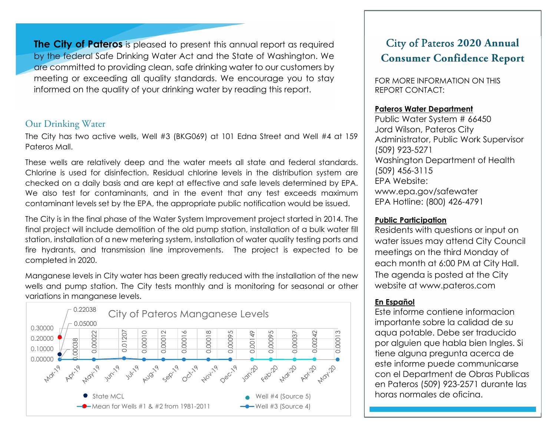**The City of Pateros** is pleased to present this annual report as required by the federal Safe Drinking Water Act and the State of Washington. We are committed to providing clean, safe drinking water to our customers by meeting or exceeding all quality standards. We encourage you to stay informed on the quality of your drinking water by reading this report.

## Our Drinking Water

The City has two active wells, Well #3 (BKG069) at 101 Edna Street and Well #4 at 159 Pateros Mall.

These wells are relatively deep and the water meets all state and federal standards. Chlorine is used for disinfection. Residual chlorine levels in the distribution system are checked on a daily basis and are kept at effective and safe levels determined by EPA. We also test for contaminants, and in the event that any test exceeds maximum contaminant levels set by the EPA, the appropriate public notification would be issued.

The City is in the final phase of the Water System Improvement project started in 2014. The final project will include demolition of the old pump station, installation of a bulk water fill station, installation of a new metering system, installation of water quality testing ports and fire hydrants, and transmission line improvements. The project is expected to be completed in 2020.

Manganese levels in City water has been greatly reduced with the installation of the new wells and pump station. The City tests monthly and is monitoring for seasonal or other variations in manganese levels.



# City of Pateros **2020 Annual Consumer Confidence Report**

FOR MORE INFORMATION ON THIS REPORT CONTACT:

## **Pateros Water Department**

Public Water System # 66450 Jord Wilson, Pateros City Administrator, Public Work Supervisor (509) 923-5271 Washington Department of Health (509) 456-3115 EPA Website: www.epa.gov/safewater EPA Hotline: (800) 426-4791

### **Public Participation**

Residents with questions or input on water issues may attend City Council meetings on the third Monday of each month at 6:00 PM at City Hall. The agenda is posted at the City website at www.pateros.com

# **En Español**

Este informe contiene informacion importante sobre la calidad de su aqua potable. Debe ser traducido por alguien que habla bien Ingles. Si tiene alguna pregunta acerca de este informe puede communicarse con el Department de Obras Publicas en Pateros (509) 923-2571 durante las horas normales de oficina.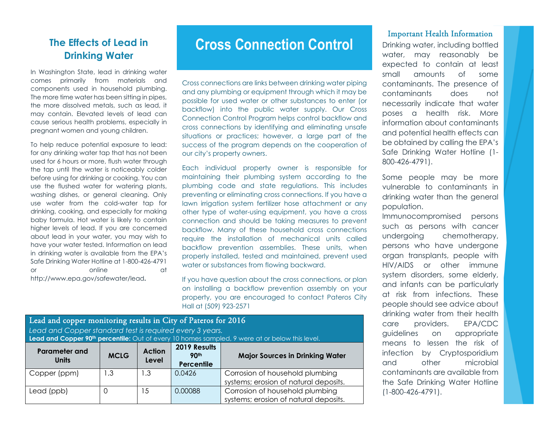# **The Effects of Lead in Drinking Water**

In Washington State, lead in drinking water comes primarily from materials and components used in household plumbing. The more time water has been sitting in pipes, the more dissolved metals, such as lead, it may contain. Elevated levels of lead can cause serious health problems, especially in pregnant women and young children.

To help reduce potential exposure to lead: for any drinking water tap that has not been used for 6 hours or more, flush water through the tap until the water is noticeably colder before using for drinking or cooking. You can use the flushed water for watering plants, washing dishes, or general cleaning. Only use water from the cold-water tap for drinking, cooking, and especially for making baby formula. Hot water is likely to contain higher levels of lead. If you are concerned about lead in your water, you may wish to have your water tested. Information on lead in drinking water is available from the EPA's Safe Drinking Water Hotline at 1-800-426-4791 or online at a contract of the contract of the contract of the contract of the contract of the contract of the contract of the contract of the contract of the contract of the contract of the contract of the contract of the http://www.epa.gov/safewater/lead**.**

# **Cross Connection Control**

Cross connections are links between drinking water piping and any plumbing or equipment through which it may be possible for used water or other substances to enter (or backflow) into the public water supply. Our Cross Connection Control Program helps control backflow and cross connections by identifying and eliminating unsafe situations or practices; however, a large part of the success of the program depends on the cooperation of our city's property owners.

Each individual property owner is responsible for maintaining their plumbing system according to the plumbing code and state regulations. This includes preventing or eliminating cross connections. If you have a lawn irrigation system fertilizer hose attachment or any other type of water-using equipment, you have a cross connection and should be taking measures to prevent backflow. Many of these household cross connections require the installation of mechanical units called backflow prevention assemblies. These units, when properly installed, tested and maintained, prevent used water or substances from flowing backward.

If you have question about the cross connections, or plan on installing a backflow prevention assembly on your property, you are encouraged to contact Pateros City Hall at (509) 923-2571

| Lead and copper monitoring results in City of Pateros for 2016<br>Lead and Copper standard test is required every 3 years.<br>Lead and Copper 90 <sup>th</sup> percentile: Out of every 10 homes sampled, 9 were at or below this level. |             |                        |                                                |                                                                          |  |  |  |
|------------------------------------------------------------------------------------------------------------------------------------------------------------------------------------------------------------------------------------------|-------------|------------------------|------------------------------------------------|--------------------------------------------------------------------------|--|--|--|
| <b>Parameter and</b><br><b>Units</b>                                                                                                                                                                                                     | <b>MCLG</b> | <b>Action</b><br>Level | 2019 Results<br>90 <sup>th</sup><br>Percentile | <b>Major Sources in Drinking Water</b>                                   |  |  |  |
| Copper (ppm)                                                                                                                                                                                                                             | .3          | 1.3                    | 0.0426                                         | Corrosion of household plumbing<br>systems; erosion of natural deposits. |  |  |  |
| Lead (ppb)                                                                                                                                                                                                                               | 0           | 15                     | 0.00088                                        | Corrosion of household plumbing<br>systems; erosion of natural deposits. |  |  |  |

#### Important Health Information

Drinking water, including bottled water, may reasonably be expected to contain at least small amounts of some contaminants. The presence of contaminants does not necessarily indicate that water poses a health risk. More information about contaminants and potential health effects can be obtained by calling the EPA's Safe Drinking Water Hotline (1- 800-426-4791).

Some people may be more vulnerable to contaminants in drinking water than the general population.

Immunocompromised persons such as persons with cancer undergoing chemotherapy, persons who have undergone organ transplants, people with HIV/AIDS or other immune system disorders, some elderly, and infants can be particularly at risk from infections. These people should see advice about drinking water from their health care providers. EPA/CDC guidelines on appropriate means to lessen the risk of infection by Cryptosporidium and other microbial contaminants are available from the Safe Drinking Water Hotline (1-800-426-4791).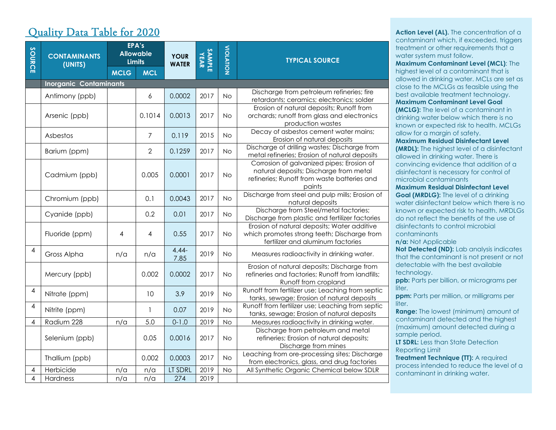# Quality Data Table for 2020

| SOURCE         | <b>CONTAMINANTS</b><br>(UNITS) |                               | EPA's<br><b>Allowable</b><br><b>Limits</b> | <b>YOUR</b><br><b>WATER</b> | <b>SAMPLE</b><br>YEAR | <b>NOILAIOIV</b> | <b>TYPICAL SOURCE</b>                                                                                                                        |
|----------------|--------------------------------|-------------------------------|--------------------------------------------|-----------------------------|-----------------------|------------------|----------------------------------------------------------------------------------------------------------------------------------------------|
|                |                                | <b>MCLG</b>                   | <b>MCL</b>                                 |                             |                       |                  |                                                                                                                                              |
|                |                                | <b>Inorganic Contaminants</b> |                                            |                             |                       |                  |                                                                                                                                              |
|                | Antimony (ppb)                 |                               | 6                                          | 0.0002                      | 2017                  | <b>No</b>        | Discharge from petroleum refineries; fire<br>retardants; ceramics; electronics; solder                                                       |
|                | Arsenic (ppb)                  |                               | 0.1014                                     | 0.0013                      | 2017                  | No.              | Erosion of natural deposits; Runoff from<br>orchards; runoff from glass and electronics<br>production wastes                                 |
|                | Asbestos                       |                               | $\overline{7}$                             | 0.119                       | 2015                  | No.              | Decay of asbestos cement water mains;<br>Erosion of natural deposits                                                                         |
|                | Barium (ppm)                   |                               | $\overline{2}$                             | 0.1259                      | 2017                  | No.              | Discharge of drilling wastes; Discharge from<br>metal refineries; Erosion of natural deposits                                                |
|                | Cadmium (ppb)                  |                               | 0.005                                      | 0.0001                      | 2017                  | No.              | Corrosion of galvanized pipes; Erosion of<br>natural deposits; Discharge from metal<br>refineries; Runoff from waste batteries and<br>paints |
|                | Chromium (ppb)                 |                               | 0.1                                        | 0.0043                      | 2017                  | <b>No</b>        | Discharge from steel and pulp mills; Erosion of<br>natural deposits                                                                          |
|                | Cyanide (ppb)                  |                               | 0.2                                        | 0.01                        | 2017                  | No.              | Discharge from Steel/metal factories;<br>Discharge from plastic and fertilizer factories                                                     |
|                | Fluoride (ppm)                 | 4                             | 4                                          | 0.55                        | 2017                  | <b>No</b>        | Erosion of natural deposits; Water additive<br>which promotes strong teeth; Discharge from<br>fertilizer and aluminum factories              |
| $\overline{4}$ | Gross Alpha                    | n/a                           | n/a                                        | $4.44 -$<br>7.85            | 2019                  | <b>No</b>        | Measures radioactivity in drinking water.                                                                                                    |
|                | Mercury (ppb)                  |                               | 0.002                                      | 0.0002                      | 2017                  | <b>No</b>        | Erosion of natural deposits; Discharge from<br>refineries and factories; Runoff from landfills;<br>Runoff from cropland                      |
| 4              | Nitrate (ppm)                  |                               | 10                                         | 3.9                         | 2019                  | <b>No</b>        | Runoff from fertilizer use; Leaching from septic<br>tanks, sewage; Erosion of natural deposits                                               |
| 4              | Nitrite (ppm)                  |                               | $\mathbf{1}$                               | 0.07                        | 2019                  | <b>No</b>        | Runoff from fertilizer use; Leaching from septic<br>tanks, sewage; Erosion of natural deposits                                               |
| $\overline{4}$ | Radium 228                     | n/a                           | 5.0                                        | $0 - 1.0$                   | 2019                  | <b>No</b>        | Measures radioactivity in drinking water.                                                                                                    |
|                | Selenium (ppb)                 |                               | 0.05                                       | 0.0016                      | 2017                  | No.              | Discharge from petroleum and metal<br>refineries; Erosion of natural deposits;<br>Discharge from mines                                       |
|                | Thallium (ppb)                 |                               | 0.002                                      | 0.0003                      | 2017                  | <b>No</b>        | Leaching from ore-processing sites; Discharge<br>from electronics, glass, and drug factories                                                 |
| 4              | Herbicide                      | n/a                           | n/a                                        | LT SDRL                     | 2019                  | <b>No</b>        | All Synthetic Organic Chemical below SDLR                                                                                                    |
| 4              | Hardness                       | n/a                           | n/a                                        | 274                         | 2019                  |                  |                                                                                                                                              |

**Action Level (AL).** The concentration of a contaminant which, if exceeded, triggers treatment or other requirements that a water system must follow.

**Maximum Contaminant Level (MCL)**: The highest level of a contaminant that is allowed in drinking water. MCLs are set as close to the MCLGs as feasible using the best available treatment technology. **Maximum Contaminant Level Goal (MCLG):** The level of a contaminant in drinking water below which there is no

known or expected risk to health. MCLGs allow for a margin of safety. **Maximum Residual Disinfectant Level (MRDL):** The highest level of a disinfectant

allowed in drinking water. There is convincing evidence that addition of a disinfectant is necessary for control of microbial contaminants

**Maximum Residual Disinfectant Level Goal (MRDLG):** The level of a drinking

water disinfectant below which there is no known or expected risk to health. MRDLGs do not reflect the benefits of the use of disinfectants to control microbial contaminants

**n/a:** Not Applicable

**Not Detected (ND):** Lab analysis indicates that the contaminant is not present or not detectable with the best available technology.

**ppb:** Parts per billion, or micrograms per liter.

**ppm:** Parts per million, or milligrams per liter.

**Range:** The lowest (minimum) amount of contaminant detected and the highest (maximum) amount detected during a sample period.

**LT SDRL:** Less than State Detection Reporting Limit

**Treatment Technique (TT):** A required process intended to reduce the level of a contaminant in drinking water.